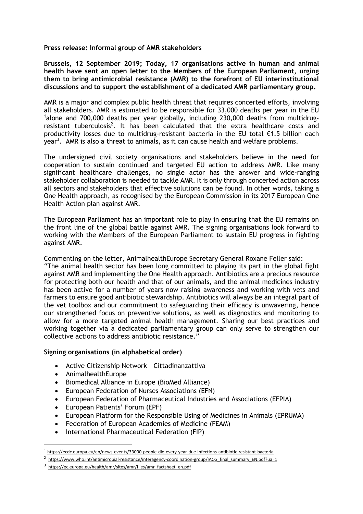**Press release: Informal group of AMR stakeholders**

**Brussels, 12 September 2019; Today, 17 organisations active in human and animal health have sent an open letter to the Members of the European Parliament, urging them to bring antimicrobial resistance (AMR) to the forefront of EU interinstitutional discussions and to support the establishment of a dedicated AMR parliamentary group.**

AMR is a major and complex public health threat that requires concerted efforts, involving all stakeholders. AMR is estimated to be responsible for 33,000 deaths per year in the EU <sup>1</sup>alone and 700,000 deaths per year globally, including 230,000 deaths from multidrugresistant tuberculosis<sup>2</sup>. It has been calculated that the extra healthcare costs and productivity losses due to multidrug-resistant bacteria in the EU total  $\epsilon$ 1.5 billion each year<sup>3</sup>. AMR is also a threat to animals, as it can cause health and welfare problems.

The undersigned civil society organisations and stakeholders believe in the need for cooperation to sustain continued and targeted EU action to address AMR. Like many significant healthcare challenges, no single actor has the answer and wide-ranging stakeholder collaboration is needed to tackle AMR. It is only through concerted action across all sectors and stakeholders that effective solutions can be found. In other words, taking a One Health approach, as recognised by the European Commission in its 2017 European One Health Action plan against AMR.

The European Parliament has an important role to play in ensuring that the EU remains on the front line of the global battle against AMR. The signing organisations look forward to working with the Members of the European Parliament to sustain EU progress in fighting against AMR.

Commenting on the letter, AnimalhealthEurope Secretary General Roxane Feller said: "The animal health sector has been long committed to playing its part in the global fight against AMR and implementing the One Health approach. Antibiotics are a precious resource for protecting both our health and that of our animals, and the animal medicines industry has been active for a number of years now raising awareness and working with vets and farmers to ensure good antibiotic stewardship. Antibiotics will always be an integral part of the vet toolbox and our commitment to safeguarding their efficacy is unwavering, hence our strengthened focus on preventive solutions, as well as diagnostics and monitoring to allow for a more targeted animal health management. Sharing our best practices and working together via a dedicated parliamentary group can only serve to strengthen our collective actions to address antibiotic resistance."

## **Signing organisations (in alphabetical order)**

- Active Citizenship Network Cittadinanzattiva
- AnimalhealthEurope

 $\overline{a}$ 

- Biomedical Alliance in Europe (BioMed Alliance)
- European Federation of Nurses Associations (EFN)
- European Federation of Pharmaceutical Industries and Associations (EFPIA)
- European Patients' Forum (EPF)
- European Platform for the Responsible Using of Medicines in Animals (EPRUMA)
- Federation of European Academies of Medicine (FEAM)
- International Pharmaceutical Federation (FIP)

<sup>1</sup> <https://ecdc.europa.eu/en/news-events/33000-people-die-every-year-due-infections-antibiotic-resistant-bacteria>

<sup>&</sup>lt;sup>2</sup> https://www.who.int/antimicrobial-resistance/interagency-coordination-group/IACG final summary EN.pdf?ua=1

<sup>&</sup>lt;sup>3</sup> [https://ec.europa.eu/health/amr/sites/amr/files/amr\\_factsheet\\_en.pdf](https://ec.europa.eu/health/amr/sites/amr/files/amr_factsheet_en.pdf)